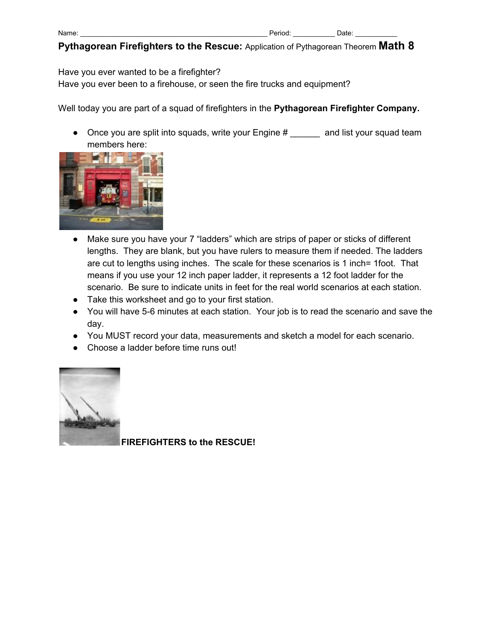| Name |  |
|------|--|
|      |  |

Have you ever wanted to be a firefighter?

Have you ever been to a firehouse, or seen the fire trucks and equipment?

Well today you are part of a squad of firefighters in the **Pythagorean Firefighter Company.**

● Once you are split into squads, write your Engine # \_\_\_\_\_\_ and list your squad team members here:



- Make sure you have your 7 "ladders" which are strips of paper or sticks of different lengths. They are blank, but you have rulers to measure them if needed. The ladders are cut to lengths using inches. The scale for these scenarios is 1 inch= 1foot. That means if you use your 12 inch paper ladder, it represents a 12 foot ladder for the scenario. Be sure to indicate units in feet for the real world scenarios at each station.
- Take this worksheet and go to your first station.
- You will have 5-6 minutes at each station. Your job is to read the scenario and save the day.
- You MUST record your data, measurements and sketch a model for each scenario.
- Choose a ladder before time runs out!



**FIREFIGHTERS to the RESCUE!**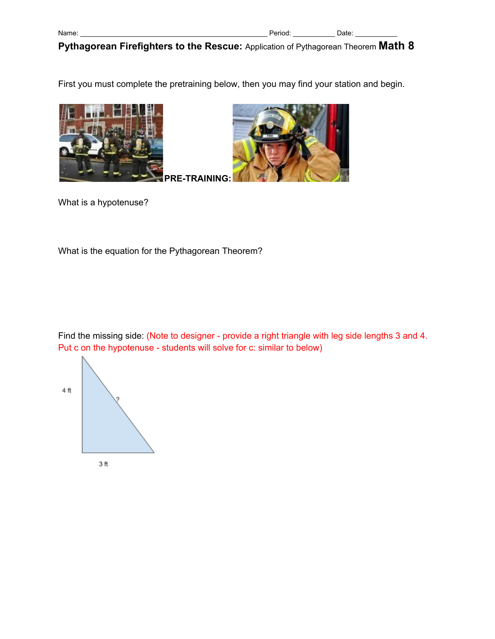First you must complete the pretraining below, then you may find your station and begin.





What is a hypotenuse?

What is the equation for the Pythagorean Theorem?

Find the missing side: (Note to designer - provide a right triangle with leg side lengths 3 and 4. Put c on the hypotenuse - students will solve for c: similar to below)

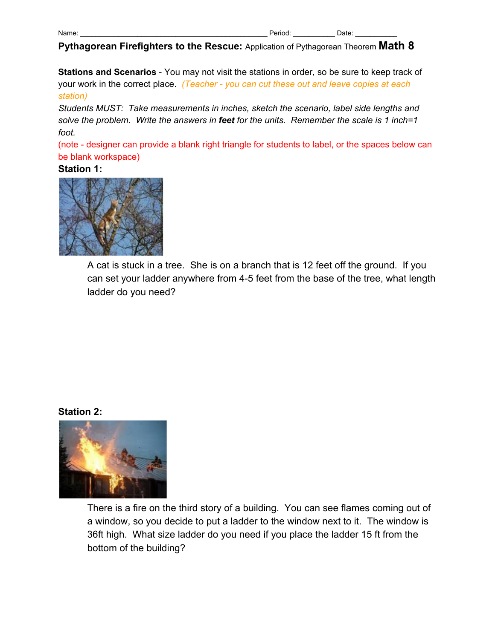**Stations and Scenarios** - You may not visit the stations in order, so be sure to keep track of your work in the correct place. *(Teacher - you can cut these out and leave copies at each station)*

*Students MUST: Take measurements in inches, sketch the scenario, label side lengths and solve the problem. Write the answers in feet for the units. Remember the scale is 1 inch=1 foot.*

(note - designer can provide a blank right triangle for students to label, or the spaces below can be blank workspace)

### **Station 1:**



A cat is stuck in a tree. She is on a branch that is 12 feet off the ground. If you can set your ladder anywhere from 4-5 feet from the base of the tree, what length ladder do you need?

#### **Station 2:**



There is a fire on the third story of a building. You can see flames coming out of a window, so you decide to put a ladder to the window next to it. The window is 36ft high. What size ladder do you need if you place the ladder 15 ft from the bottom of the building?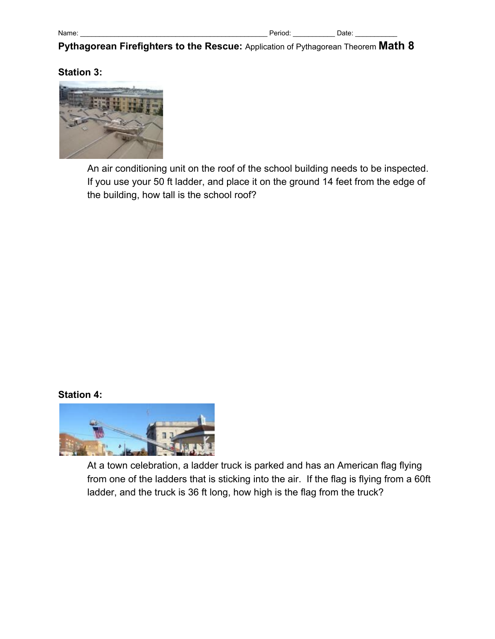## **Station 3:**



An air conditioning unit on the roof of the school building needs to be inspected. If you use your 50 ft ladder, and place it on the ground 14 feet from the edge of the building, how tall is the school roof?

### **Station 4:**



At a town celebration, a ladder truck is parked and has an American flag flying from one of the ladders that is sticking into the air. If the flag is flying from a 60ft ladder, and the truck is 36 ft long, how high is the flag from the truck?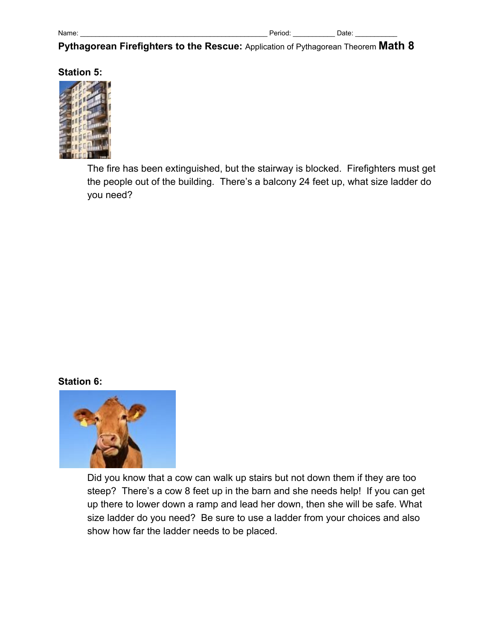### **Station 5:**



The fire has been extinguished, but the stairway is blocked. Firefighters must get the people out of the building. There's a balcony 24 feet up, what size ladder do you need?

### **Station 6:**



Did you know that a cow can walk up stairs but not down them if they are too steep? There's a cow 8 feet up in the barn and she needs help! If you can get up there to lower down a ramp and lead her down, then she will be safe. What size ladder do you need? Be sure to use a ladder from your choices and also show how far the ladder needs to be placed.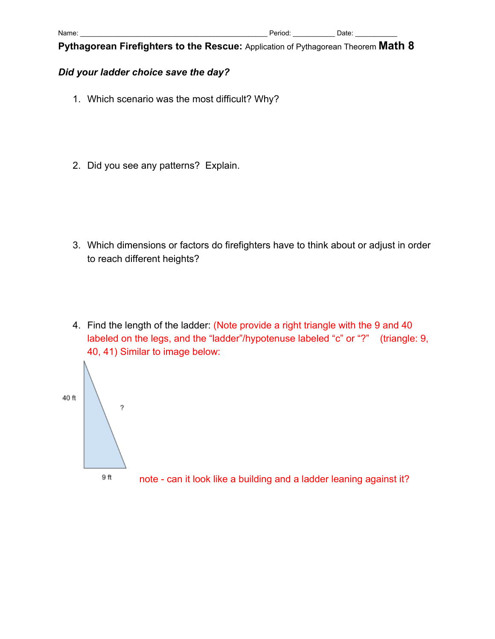# *Did your ladder choice save the day?*

- 1. Which scenario was the most difficult? Why?
- 2. Did you see any patterns? Explain.

- 3. Which dimensions or factors do firefighters have to think about or adjust in order to reach different heights?
- 4. Find the length of the ladder: (Note provide a right triangle with the 9 and 40 labeled on the legs, and the "ladder"/hypotenuse labeled "c" or "?" (triangle: 9, 40, 41) Similar to image below: